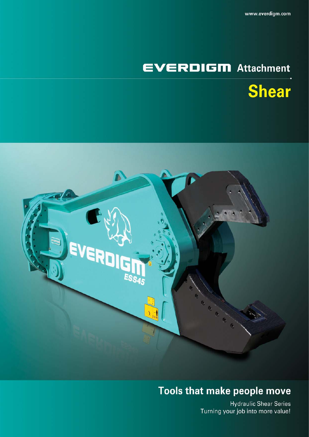# **EVERDIGM** Attachment





# Tools that make people move

**Hydraulic Shear Series** Turning your job into more value!